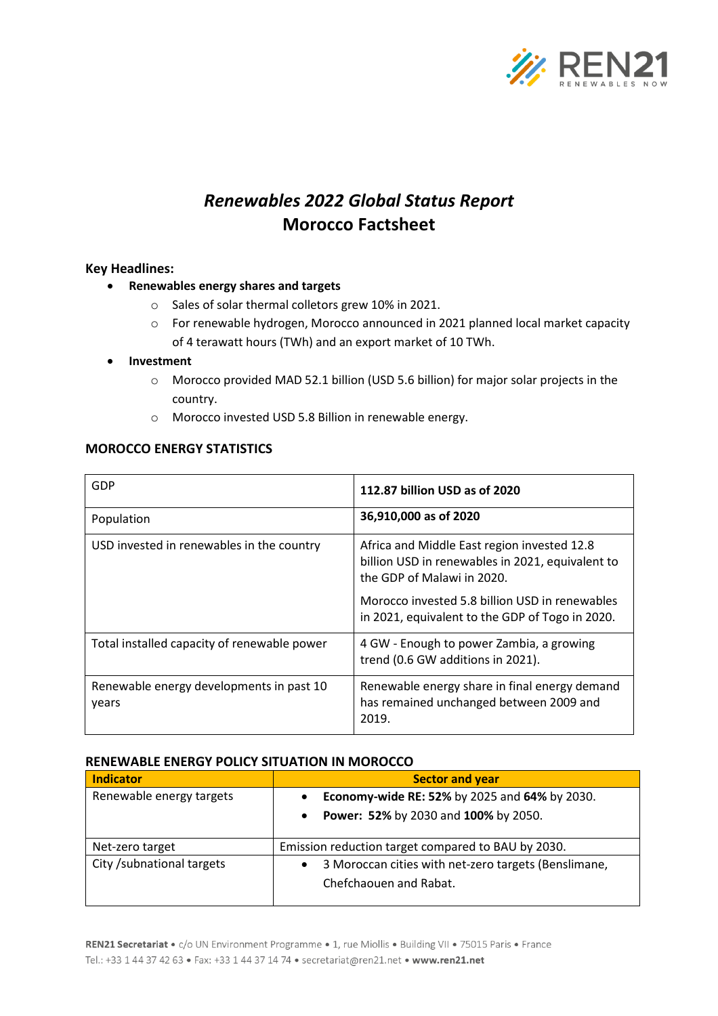

# *Renewables 2022 Global Status Report* **Morocco Factsheet**

# **Key Headlines:**

- **Renewables energy shares and targets**
	- o Sales of solar thermal colletors grew 10% in 2021.
	- o For renewable hydrogen, Morocco announced in 2021 planned local market capacity of 4 terawatt hours (TWh) and an export market of 10 TWh.

### • **Investment**

- o Morocco provided MAD 52.1 billion (USD 5.6 billion) for major solar projects in the country.
- o Morocco invested USD 5.8 Billion in renewable energy.

# **MOROCCO ENERGY STATISTICS**

| GDP                                               | 112.87 billion USD as of 2020                                                                                                 |  |
|---------------------------------------------------|-------------------------------------------------------------------------------------------------------------------------------|--|
| Population                                        | 36,910,000 as of 2020                                                                                                         |  |
| USD invested in renewables in the country         | Africa and Middle East region invested 12.8<br>billion USD in renewables in 2021, equivalent to<br>the GDP of Malawi in 2020. |  |
|                                                   | Morocco invested 5.8 billion USD in renewables<br>in 2021, equivalent to the GDP of Togo in 2020.                             |  |
| Total installed capacity of renewable power       | 4 GW - Enough to power Zambia, a growing<br>trend (0.6 GW additions in 2021).                                                 |  |
| Renewable energy developments in past 10<br>years | Renewable energy share in final energy demand<br>has remained unchanged between 2009 and<br>2019.                             |  |

### **RENEWABLE ENERGY POLICY SITUATION IN MOROCCO**

| <b>Indicator</b>           | <b>Sector and year</b>                                                                      |  |
|----------------------------|---------------------------------------------------------------------------------------------|--|
| Renewable energy targets   | Economy-wide RE: 52% by 2025 and 64% by 2030.                                               |  |
|                            | <b>Power: 52%</b> by 2030 and 100% by 2050.<br>$\bullet$                                    |  |
| Net-zero target            | Emission reduction target compared to BAU by 2030.                                          |  |
| City / subnational targets | 3 Moroccan cities with net-zero targets (Benslimane,<br>$\bullet$<br>Chefchaouen and Rabat. |  |